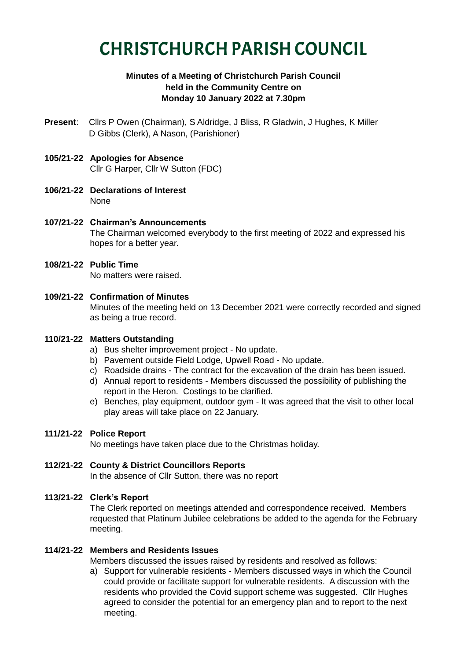# CHRISTCHURCH PARISH COUNCIL

## **Minutes of a Meeting of Christchurch Parish Council held in the Community Centre on Monday 10 January 2022 at 7.30pm**

**Present**: Cllrs P Owen (Chairman), S Aldridge, J Bliss, R Gladwin, J Hughes, K Miller D Gibbs (Clerk), A Nason, (Parishioner)

## **105/21-22 Apologies for Absence** Cllr G Harper, Cllr W Sutton (FDC)

- **106/21-22 Declarations of Interest** None
- **107/21-22 Chairman's Announcements** The Chairman welcomed everybody to the first meeting of 2022 and expressed his hopes for a better year.
- **108/21-22 Public Time** No matters were raised.
- **109/21-22 Confirmation of Minutes** Minutes of the meeting held on 13 December 2021 were correctly recorded and signed as being a true record.

## **110/21-22 Matters Outstanding**

- a) Bus shelter improvement project No update.
- b) Pavement outside Field Lodge, Upwell Road No update.
- c) Roadside drains The contract for the excavation of the drain has been issued.
- d) Annual report to residents Members discussed the possibility of publishing the report in the Heron. Costings to be clarified.
- e) Benches, play equipment, outdoor gym It was agreed that the visit to other local play areas will take place on 22 January.

## **111/21-22 Police Report**

No meetings have taken place due to the Christmas holiday.

## **112/21-22 County & District Councillors Reports**

In the absence of Cllr Sutton, there was no report

## **113/21-22 Clerk's Report**

The Clerk reported on meetings attended and correspondence received. Members requested that Platinum Jubilee celebrations be added to the agenda for the February meeting.

## **114/21-22 Members and Residents Issues**

Members discussed the issues raised by residents and resolved as follows:

a) Support for vulnerable residents - Members discussed ways in which the Council could provide or facilitate support for vulnerable residents. A discussion with the residents who provided the Covid support scheme was suggested. Cllr Hughes agreed to consider the potential for an emergency plan and to report to the next meeting.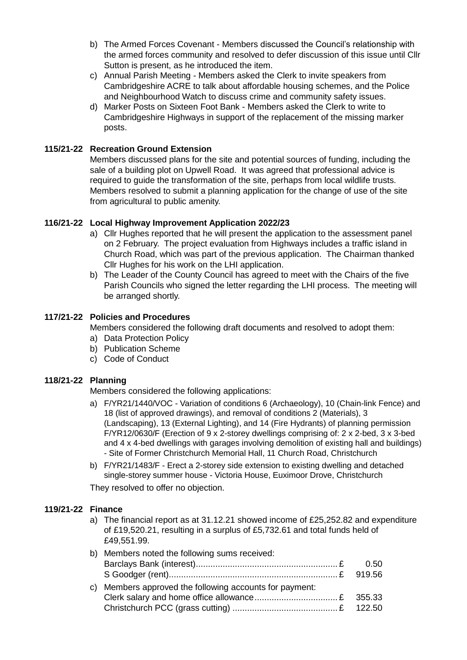- b) The Armed Forces Covenant Members discussed the Council's relationship with the armed forces community and resolved to defer discussion of this issue until Cllr Sutton is present, as he introduced the item.
- c) Annual Parish Meeting Members asked the Clerk to invite speakers from Cambridgeshire ACRE to talk about affordable housing schemes, and the Police and Neighbourhood Watch to discuss crime and community safety issues.
- d) Marker Posts on Sixteen Foot Bank Members asked the Clerk to write to Cambridgeshire Highways in support of the replacement of the missing marker posts.

#### **115/21-22 Recreation Ground Extension**

Members discussed plans for the site and potential sources of funding, including the sale of a building plot on Upwell Road. It was agreed that professional advice is required to guide the transformation of the site, perhaps from local wildlife trusts. Members resolved to submit a planning application for the change of use of the site from agricultural to public amenity.

#### **116/21-22 Local Highway Improvement Application 2022/23**

- a) Cllr Hughes reported that he will present the application to the assessment panel on 2 February. The project evaluation from Highways includes a traffic island in Church Road, which was part of the previous application. The Chairman thanked Cllr Hughes for his work on the LHI application.
- b) The Leader of the County Council has agreed to meet with the Chairs of the five Parish Councils who signed the letter regarding the LHI process. The meeting will be arranged shortly.

#### **117/21-22 Policies and Procedures**

Members considered the following draft documents and resolved to adopt them:

- a) Data Protection Policy
- b) Publication Scheme
- c) Code of Conduct

#### **118/21-22 Planning**

Members considered the following applications:

- a) F/YR21/1440/VOC Variation of conditions 6 (Archaeology), 10 (Chain-link Fence) and 18 (list of approved drawings), and removal of conditions 2 (Materials), 3 (Landscaping), 13 (External Lighting), and 14 (Fire Hydrants) of planning permission F/YR12/0630/F (Erection of 9 x 2-storey dwellings comprising of: 2 x 2-bed, 3 x 3-bed and 4 x 4-bed dwellings with garages involving demolition of existing hall and buildings) - Site of Former Christchurch Memorial Hall, 11 Church Road, Christchurch
- b) F/YR21/1483/F Erect a 2-storey side extension to existing dwelling and detached single-storey summer house - Victoria House, Euximoor Drove, Christchurch They resolved to offer no objection.

#### **119/21-22 Finance**

a) The financial report as at 31.12.21 showed income of £25,252.82 and expenditure of £19,520.21, resulting in a surplus of £5,732.61 and total funds held of £49,551.99.

|  | b) Members noted the following sums received:           |  |
|--|---------------------------------------------------------|--|
|  |                                                         |  |
|  |                                                         |  |
|  | c) Members approved the following accounts for payment: |  |
|  |                                                         |  |
|  |                                                         |  |